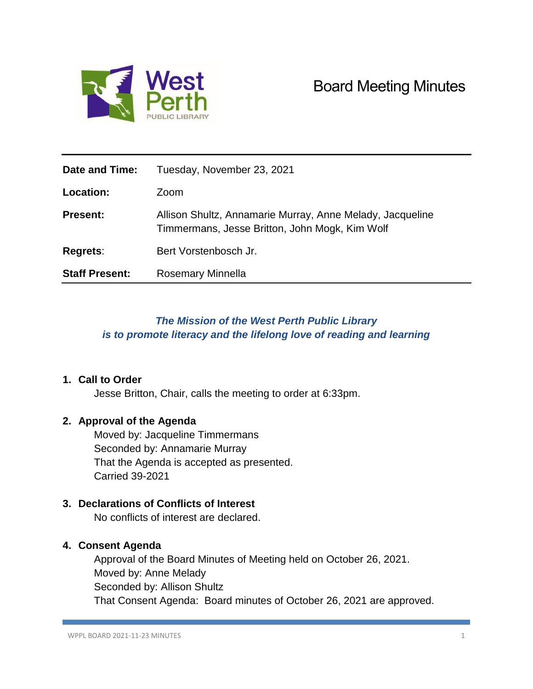

| Date and Time:        | Tuesday, November 23, 2021                                                                                  |
|-----------------------|-------------------------------------------------------------------------------------------------------------|
| <b>Location:</b>      | Zoom                                                                                                        |
| <b>Present:</b>       | Allison Shultz, Annamarie Murray, Anne Melady, Jacqueline<br>Timmermans, Jesse Britton, John Mogk, Kim Wolf |
| Regrets:              | Bert Vorstenbosch Jr.                                                                                       |
| <b>Staff Present:</b> | Rosemary Minnella                                                                                           |

# *The Mission of the West Perth Public Library is to promote literacy and the lifelong love of reading and learning*

## **1. Call to Order**

Jesse Britton, Chair, calls the meeting to order at 6:33pm.

## **2. Approval of the Agenda**

Moved by: Jacqueline Timmermans Seconded by: Annamarie Murray That the Agenda is accepted as presented. Carried 39-2021

## **3. Declarations of Conflicts of Interest**

No conflicts of interest are declared.

## **4. Consent Agenda**

Approval of the Board Minutes of Meeting held on October 26, 2021. Moved by: Anne Melady Seconded by: Allison Shultz That Consent Agenda: Board minutes of October 26, 2021 are approved.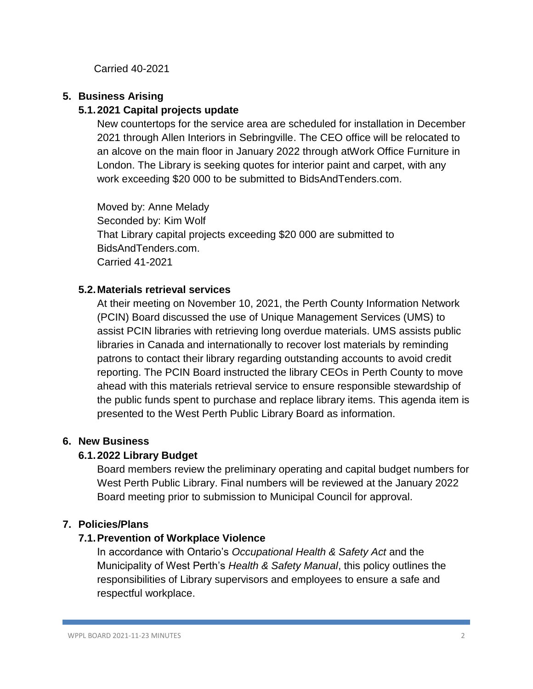Carried 40-2021

# **5. Business Arising**

# **5.1.2021 Capital projects update**

New countertops for the service area are scheduled for installation in December 2021 through Allen Interiors in Sebringville. The CEO office will be relocated to an alcove on the main floor in January 2022 through atWork Office Furniture in London. The Library is seeking quotes for interior paint and carpet, with any work exceeding \$20 000 to be submitted to BidsAndTenders.com.

Moved by: Anne Melady Seconded by: Kim Wolf That Library capital projects exceeding \$20 000 are submitted to BidsAndTenders.com. Carried 41-2021

# **5.2.Materials retrieval services**

At their meeting on November 10, 2021, the Perth County Information Network (PCIN) Board discussed the use of Unique Management Services (UMS) to assist PCIN libraries with retrieving long overdue materials. UMS assists public libraries in Canada and internationally to recover lost materials by reminding patrons to contact their library regarding outstanding accounts to avoid credit reporting. The PCIN Board instructed the library CEOs in Perth County to move ahead with this materials retrieval service to ensure responsible stewardship of the public funds spent to purchase and replace library items. This agenda item is presented to the West Perth Public Library Board as information.

## **6. New Business**

# **6.1.2022 Library Budget**

Board members review the preliminary operating and capital budget numbers for West Perth Public Library. Final numbers will be reviewed at the January 2022 Board meeting prior to submission to Municipal Council for approval.

# **7. Policies/Plans**

## **7.1.Prevention of Workplace Violence**

In accordance with Ontario's *Occupational Health & Safety Act* and the Municipality of West Perth's *Health & Safety Manual*, this policy outlines the responsibilities of Library supervisors and employees to ensure a safe and respectful workplace.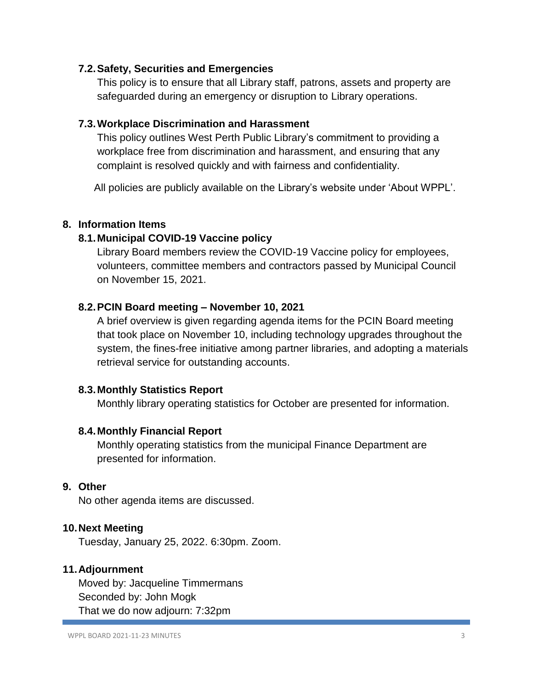## **7.2.Safety, Securities and Emergencies**

This policy is to ensure that all Library staff, patrons, assets and property are safeguarded during an emergency or disruption to Library operations.

#### **7.3.Workplace Discrimination and Harassment**

This policy outlines West Perth Public Library's commitment to providing a workplace free from discrimination and harassment, and ensuring that any complaint is resolved quickly and with fairness and confidentiality.

All policies are publicly available on the Library's website under 'About WPPL'.

#### **8. Information Items**

#### **8.1.Municipal COVID-19 Vaccine policy**

Library Board members review the COVID-19 Vaccine policy for employees, volunteers, committee members and contractors passed by Municipal Council on November 15, 2021.

#### **8.2.PCIN Board meeting – November 10, 2021**

A brief overview is given regarding agenda items for the PCIN Board meeting that took place on November 10, including technology upgrades throughout the system, the fines-free initiative among partner libraries, and adopting a materials retrieval service for outstanding accounts.

#### **8.3.Monthly Statistics Report**

Monthly library operating statistics for October are presented for information.

#### **8.4.Monthly Financial Report**

Monthly operating statistics from the municipal Finance Department are presented for information.

## **9. Other**

No other agenda items are discussed.

#### **10.Next Meeting**

Tuesday, January 25, 2022. 6:30pm. Zoom.

#### **11.Adjournment**

Moved by: Jacqueline Timmermans Seconded by: John Mogk That we do now adjourn: 7:32pm